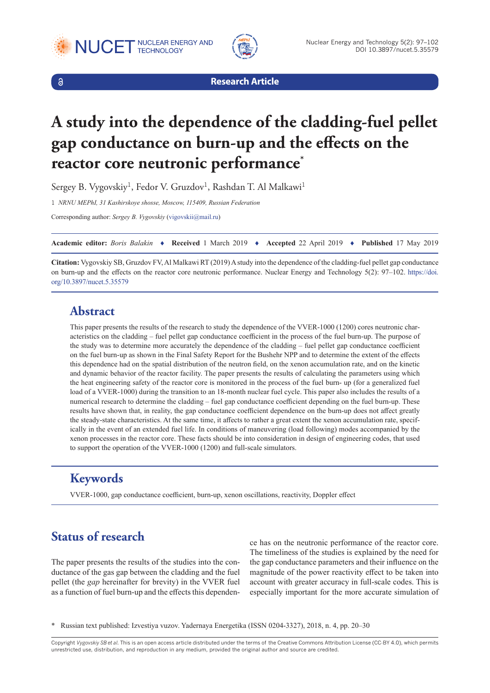





**Research Article**

# **A study into the dependence of the cladding-fuel pellet gap conductance on burn-up and the effects on the reactor core neutronic performance\***

Sergey B. Vygovskiy<sup>1</sup>, Fedor V. Gruzdov<sup>1</sup>, Rashdan T. Al Malkawi<sup>1</sup>

1 *NRNU MEPhI, 31 Kashirskoye shosse, Moscow, 115409, Russian Federation*

Corresponding author: *Sergey B. Vygovskiy* [\(vigovskii@mail.ru](mailto:vigovskii@mail.ru))

**Academic editor:** *Boris Balakin* ♦ **Received** 1 March 2019 ♦ **Accepted** 22 April 2019 ♦ **Published** 17 May 2019

**Citation:** Vygovskiy SB, Gruzdov FV, Al Malkawi RT (2019) A study into the dependence of the cladding-fuel pellet gap conductance on burn-up and the effects on the reactor core neutronic performance. Nuclear Energy and Technology 5(2): 97–102. [https://doi.](https://doi.org/10.3897/nucet.5.35579) [org/10.3897/nucet.5.35579](https://doi.org/10.3897/nucet.5.35579)

# **Abstract**

This paper presents the results of the research to study the dependence of the VVER-1000 (1200) cores neutronic characteristics on the cladding – fuel pellet gap conductance coefficient in the process of the fuel burn-up. The purpose of the study was to determine more accurately the dependence of the cladding – fuel pellet gap conductance coefficient on the fuel burn-up as shown in the Final Safety Report for the Bushehr NPP and to determine the extent of the effects this dependence had on the spatial distribution of the neutron field, on the xenon accumulation rate, and on the kinetic and dynamic behavior of the reactor facility. The paper presents the results of calculating the parameters using which the heat engineering safety of the reactor core is monitored in the process of the fuel burn- up (for a generalized fuel load of a VVER-1000) during the transition to an 18-month nuclear fuel cycle. This paper also includes the results of a numerical research to determine the cladding – fuel gap conductance coefficient depending on the fuel burn-up. These results have shown that, in reality, the gap conductance coefficient dependence on the burn-up does not affect greatly the steady-state characteristics. At the same time, it affects to rather a great extent the xenon accumulation rate, specifically in the event of an extended fuel life. In conditions of maneuvering (load following) modes accompanied by the xenon processes in the reactor core. These facts should be into consideration in design of engineering codes, that used to support the operation of the VVER-1000 (1200) and full-scale simulators.

# **Keywords**

VVER-1000, gap conductance coefficient, burn-up, xenon oscillations, reactivity, Doppler effect

# **Status of research**

The paper presents the results of the studies into the conductance of the gas gap between the cladding and the fuel pellet (the *gap* hereinafter for brevity) in the VVER fuel as a function of fuel burn-up and the effects this dependence has on the neutronic performance of the reactor core. The timeliness of the studies is explained by the need for the gap conductance parameters and their influence on the magnitude of the power reactivity effect to be taken into account with greater accuracy in full-scale codes. This is especially important for the more accurate simulation of

\* Russian text published: Izvestiya vuzov. Yadernaya Energetika (ISSN 0204-3327), 2018, n. 4, pp. 20–30

Copyright *Vygovskiy SB et al.* This is an open access article distributed under the terms of the Creative Commons Attribution License (CC-BY 4.0), which permits unrestricted use, distribution, and reproduction in any medium, provided the original author and source are credited.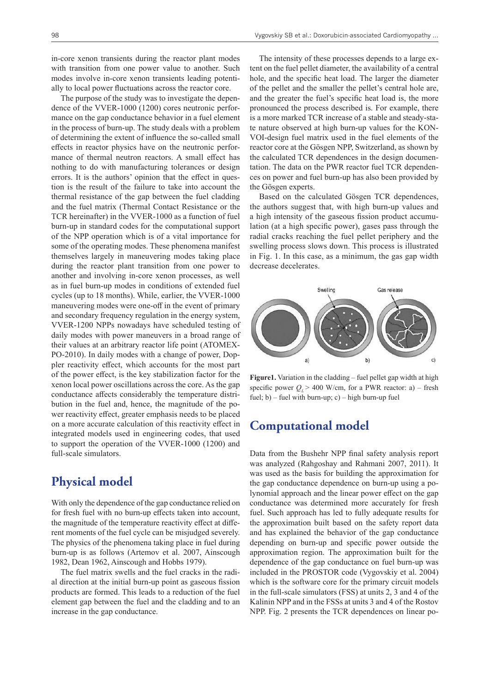in-core xenon transients during the reactor plant modes with transition from one power value to another. Such modes involve in-core xenon transients leading potentially to local power fluctuations across the reactor core.

The purpose of the study was to investigate the dependence of the VVER-1000 (1200) cores neutronic performance on the gap conductance behavior in a fuel element in the process of burn-up. The study deals with a problem of determining the extent of influence the so-called small effects in reactor physics have on the neutronic performance of thermal neutron reactors. A small effect has nothing to do with manufacturing tolerances or design errors. It is the authors' opinion that the effect in question is the result of the failure to take into account the thermal resistance of the gap between the fuel cladding and the fuel matrix (Thermal Contact Resistance or the TCR hereinafter) in the VVER-1000 as a function of fuel burn-up in standard codes for the computational support of the NPP operation which is of a vital importance for some of the operating modes. These phenomena manifest themselves largely in maneuvering modes taking place during the reactor plant transition from one power to another and involving in-core xenon processes, as well as in fuel burn-up modes in conditions of extended fuel cycles (up to 18 months). While, earlier, the VVER-1000 maneuvering modes were one-off in the event of primary and secondary frequency regulation in the energy system, VVER-1200 NPPs nowadays have scheduled testing of daily modes with power maneuvers in a broad range of their values at an arbitrary reactor life point (ATOMEX-PO-2010). In daily modes with a change of power, Doppler reactivity effect, which accounts for the most part of the power effect, is the key stabilization factor for the xenon local power oscillations across the core. As the gap conductance affects considerably the temperature distribution in the fuel and, hence, the magnitude of the power reactivity effect, greater emphasis needs to be placed on a more accurate calculation of this reactivity effect in integrated models used in engineering codes, that used to support the operation of the VVER-1000 (1200) and full-scale simulators.

#### **Physical model**

With only the dependence of the gap conductance relied on for fresh fuel with no burn-up effects taken into account, the magnitude of the temperature reactivity effect at different moments of the fuel cycle can be misjudged severely. The physics of the phenomena taking place in fuel during burn-up is as follows (Artemov et al. 2007, Ainscough 1982, Dean 1962, Ainscough and Hobbs 1979).

The fuel matrix swells and the fuel cracks in the radial direction at the initial burn-up point as gaseous fission products are formed. This leads to a reduction of the fuel element gap between the fuel and the cladding and to an increase in the gap conductance.

The intensity of these processes depends to a large extent on the fuel pellet diameter, the availability of a central hole, and the specific heat load. The larger the diameter of the pellet and the smaller the pellet's central hole are, and the greater the fuel's specific heat load is, the more pronounced the process described is. For example, there is a more marked TCR increase of a stable and steady-state nature observed at high burn-up values for the KON-VOI-design fuel matrix used in the fuel elements of the reactor core at the Gösgen NPP, Switzerland, as shown by the calculated TCR dependences in the design documentation. The data on the PWR reactor fuel TCR dependences on power and fuel burn-up has also been provided by the Gösgen experts.

Based on the calculated Gösgen TCR dependences, the authors suggest that, with high burn-up values and a high intensity of the gaseous fission product accumulation (at a high specific power), gases pass through the radial cracks reaching the fuel pellet periphery and the swelling process slows down. This process is illustrated in Fig. 1. In this case, as a minimum, the gas gap width decrease decelerates.



**Figure1.** Variation in the cladding – fuel pellet gap width at high specific power  $Q_i$  > 400 W/cm, for a PWR reactor: a) – fresh fuel;  $b$ ) – fuel with burn-up; c) – high burn-up fuel

#### **Computational model**

Data from the Bushehr NPP final safety analysis report was analyzed (Rahgoshay and Rahmani 2007, 2011). It was used as the basis for building the approximation for the gap conductance dependence on burn-up using a polynomial approach and the linear power effect on the gap conductance was determined more accurately for fresh fuel. Such approach has led to fully adequate results for the approximation built based on the safety report data and has explained the behavior of the gap conductance depending on burn-up and specific power outside the approximation region. The approximation built for the dependence of the gap conductance on fuel burn-up was included in the PROSTOR code (Vygovskiy et al. 2004) which is the software core for the primary circuit models in the full-scale simulators (FSS) at units 2, 3 and 4 of the Kalinin NPP and in the FSSs at units 3 and 4 of the Rostov NPP. Fig. 2 presents the TCR dependences on linear po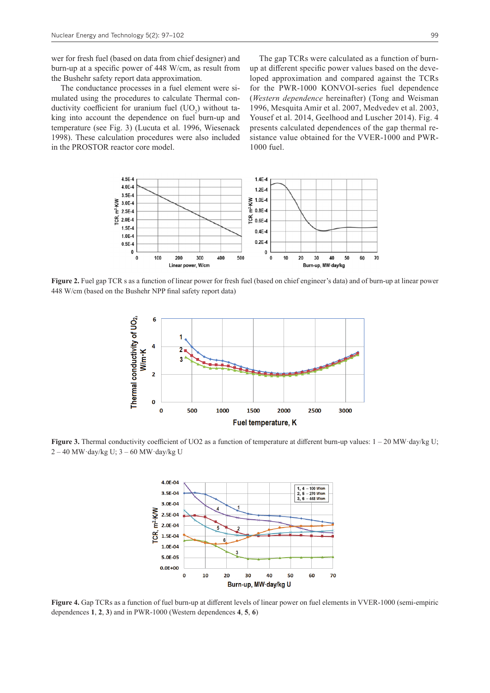wer for fresh fuel (based on data from chief designer) and burn-up at a specific power of 448 W/cm, as result from the Bushehr safety report data approximation.

The conductance processes in a fuel element were simulated using the procedures to calculate Thermal conductivity coefficient for uranium fuel  $(UO<sub>2</sub>)$  without taking into account the dependence on fuel burn-up and temperature (see Fig. 3) (Lucuta et al. 1996, Wiesenack 1998). These calculation procedures were also included in the PROSTOR reactor core model.

The gap TCRs were calculated as a function of burnup at different specific power values based on the developed approximation and compared against the TCRs for the PWR-1000 KONVOI-series fuel dependence (*Western dependence* hereinafter) (Tong and Weisman 1996, Mesquita Amir et al. 2007, Medvedev et al. 2003, Yousef et al. 2014, Geelhood and Luscher 2014). Fig. 4 presents calculated dependences of the gap thermal resistance value obtained for the VVER-1000 and PWR-1000 fuel.



**Figure 2.** Fuel gap TCR s as a function of linear power for fresh fuel (based on chief engineer's data) and of burn-up at linear power 448 W/cm (based on the Bushehr NPP final safety report data)



Figure 3. Thermal conductivity coefficient of UO2 as a function of temperature at different burn-up values:  $1 - 20$  MW·day/kg U;  $2 - 40$  MW·day/kg U;  $3 - 60$  MW·day/kg U



**Figure 4.** Gap TCRs as a function of fuel burn-up at different levels of linear power on fuel elements in VVER-1000 (semi-empiric dependences **1**, **2**, **3**) and in PWR-1000 (Western dependences **4**, **5**, **6**)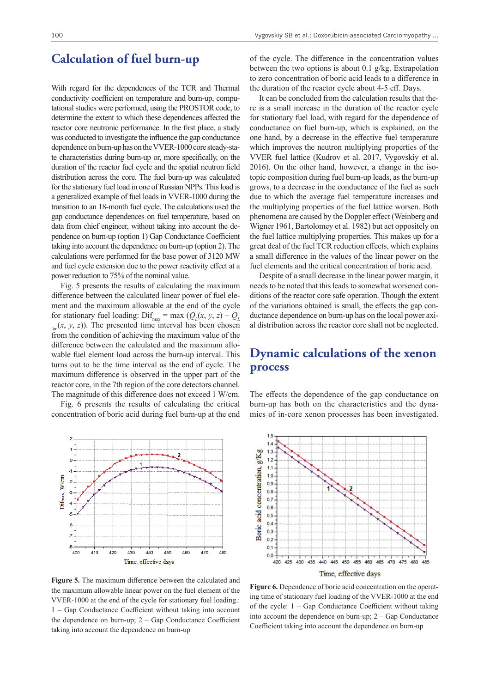### **Calculation of fuel burn-up**

With regard for the dependences of the TCR and Thermal conductivity coefficient on temperature and burn-up, computational studies were performed, using the PROSTOR code, to determine the extent to which these dependences affected the reactor core neutronic performance. In the first place, a study was conducted to investigate the influence the gap conductance dependence on burn-up has on the VVER-1000 core steady-state characteristics during burn-up or, more specifically, on the duration of the reactor fuel cycle and the spatial neutron field distribution across the core. The fuel burn-up was calculated for the stationary fuel load in one of Russian NPPs. This load is a generalized example of fuel loads in VVER-1000 during the transition to an 18-month fuel cycle. The calculations used the gap conductance dependences on fuel temperature, based on data from chief engineer, without taking into account the dependence on burn-up (option 1) Gap Conductance Coefficient taking into account the dependence on burn-up (option 2). The calculations were performed for the base power of 3120 MW and fuel cycle extension due to the power reactivity effect at a power reduction to 75% of the nominal value.

Fig. 5 presents the results of calculating the maximum difference between the calculated linear power of fuel element and the maximum allowable at the end of the cycle for stationary fuel loading:  $\text{Dif}_{\text{max}} = \text{max} (Q_L(x, y, z) - Q_L)$  $\lim_{\text{lim}}(x, y, z)$ ). The presented time interval has been chosen from the condition of achieving the maximum value of the difference between the calculated and the maximum allowable fuel element load across the burn-up interval. This turns out to be the time interval as the end of cycle. The maximum difference is observed in the upper part of the reactor core, in the 7th region of the core detectors channel. The magnitude of this difference does not exceed 1 W/cm.

Fig. 6 presents the results of calculating the critical concentration of boric acid during fuel burn-up at the end



**Figure 5.** The maximum difference between the calculated and the maximum allowable linear power on the fuel element of the VVER-1000 at the end of the cycle for stationary fuel loading.: 1 – Gap Conductance Coefficient without taking into account the dependence on burn-up; 2 – Gap Conductance Coefficient taking into account the dependence on burn-up

of the cycle. The difference in the concentration values between the two options is about 0.1 g/kg. Extrapolation to zero concentration of boric acid leads to a difference in the duration of the reactor cycle about 4-5 eff. Days.

It can be concluded from the calculation results that there is a small increase in the duration of the reactor cycle for stationary fuel load, with regard for the dependence of conductance on fuel burn-up, which is explained, on the one hand, by a decrease in the effective fuel temperature which improves the neutron multiplying properties of the VVER fuel lattice (Kudrov et al. 2017, Vygovskiy et al. 2016). On the other hand, however, a change in the isotopic composition during fuel burn-up leads, as the burn-up grows, to a decrease in the conductance of the fuel as such due to which the average fuel temperature increases and the multiplying properties of the fuel lattice worsen. Both phenomena are caused by the Doppler effect (Weinberg and Wigner 1961, Bartolomey et al. 1982) but act oppositely on the fuel lattice multiplying properties. This makes up for a great deal of the fuel TCR reduction effects, which explains a small difference in the values of the linear power on the fuel elements and the critical concentration of boric acid.

Despite of a small decrease in the linear power margin, it needs to be noted that this leads to somewhat worsened conditions of the reactor core safe operation. Though the extent of the variations obtained is small, the effects the gap conductance dependence on burn-up has on the local power axial distribution across the reactor core shall not be neglected.

## **Dynamic calculations of the xenon process**

The effects the dependence of the gap conductance on burn-up has both on the characteristics and the dynamics of in-core xenon processes has been investigated.



**Figure 6.** Dependence of boric acid concentration on the operating time of stationary fuel loading of the VVER-1000 at the end of the cycle: 1 – Gap Conductance Coefficient without taking into account the dependence on burn-up; 2 – Gap Conductance Coefficient taking into account the dependence on burn-up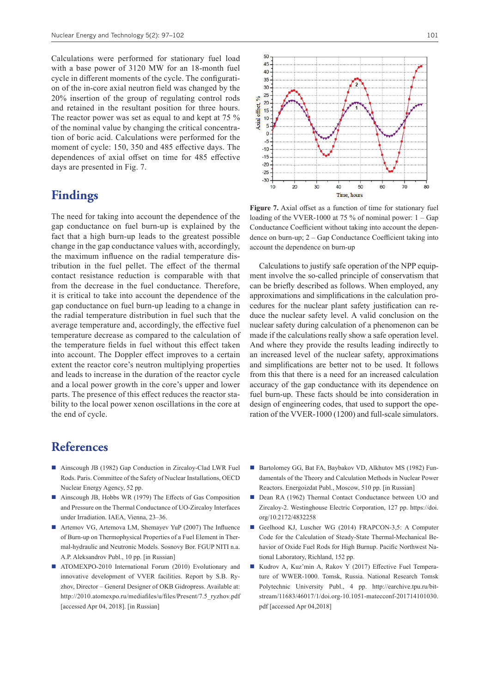Calculations were performed for stationary fuel load with a base power of 3120 MW for an 18-month fuel cycle in different moments of the cycle. The configuration of the in-core axial neutron field was changed by the 20% insertion of the group of regulating control rods and retained in the resultant position for three hours. The reactor power was set as equal to and kept at 75 % of the nominal value by changing the critical concentration of boric acid. Calculations were performed for the moment of cycle: 150, 350 and 485 effective days. The dependences of axial offset on time for 485 effective days are presented in Fig. 7.

# **Findings**

The need for taking into account the dependence of the gap conductance on fuel burn-up is explained by the fact that a high burn-up leads to the greatest possible change in the gap conductance values with, accordingly, the maximum influence on the radial temperature distribution in the fuel pellet. The effect of the thermal contact resistance reduction is comparable with that from the decrease in the fuel conductance. Therefore, it is critical to take into account the dependence of the gap conductance on fuel burn-up leading to a change in the radial temperature distribution in fuel such that the average temperature and, accordingly, the effective fuel temperature decrease as compared to the calculation of the temperature fields in fuel without this effect taken into account. The Doppler effect improves to a certain extent the reactor core's neutron multiplying properties and leads to increase in the duration of the reactor cycle and a local power growth in the core's upper and lower parts. The presence of this effect reduces the reactor stability to the local power xenon oscillations in the core at the end of cycle.



**Figure 7.** Axial offset as a function of time for stationary fuel loading of the VVER-1000 at 75 % of nominal power: 1 – Gap Conductance Coefficient without taking into account the dependence on burn-up; 2 – Gap Conductance Coefficient taking into account the dependence on burn-up

Calculations to justify safe operation of the NPP equipment involve the so-called principle of conservatism that can be briefly described as follows. When employed, any approximations and simplifications in the calculation procedures for the nuclear plant safety justification can reduce the nuclear safety level. A valid conclusion on the nuclear safety during calculation of a phenomenon can be made if the calculations really show a safe operation level. And where they provide the results leading indirectly to an increased level of the nuclear safety, approximations and simplifications are better not to be used. It follows from this that there is a need for an increased calculation accuracy of the gap conductance with its dependence on fuel burn-up. These facts should be into consideration in design of engineering codes, that used to support the operation of the VVER-1000 (1200) and full-scale simulators.

# **References**

- Ainscough JB (1982) Gap Conduction in Zircaloy-Clad LWR Fuel Rods. Paris. Committee of the Safety of Nuclear Installations, OECD Nuclear Energy Agency, 52 pp.
- Ainscough JB, Hobbs WR (1979) The Effects of Gas Composition and Pressure on the Thermal Conductance of UO-Zircaloy Interfaces under Irradiation. IAEA, Vienna, 23–36.
- Artemov VG, Artemova LM, Shemayev YuP (2007) The Influence of Burn-up on Thermophysical Properties of a Fuel Element in Thermal-hydraulic and Neutronic Models. Sosnovy Bor. FGUP NITI n.a. A.P. Aleksandrov Publ., 10 pp. [in Russian]
- ATOMEXPO-2010 International Forum (2010) Evolutionary and innovative development of VVER facilities. Report by S.B. Ryzhov, Director – General Designer of OKB Gidropress. Available at: [http://2010.atomexpo.ru/mediafiles/u/files/Present/7.5\\_ryzhov.pdf](http://2010.atomexpo.ru/mediafiles/u/files/Present/7.5_ryzhov.pdf) [accessed Apr 04, 2018]. [in Russian]
- Bartolomey GG, Bat FA, Baybakov VD, Alkhutov MS (1982) Fundamentals of the Theory and Calculation Methods in Nuclear Power Reactors. Energoizdat Publ., Moscow, 510 pp. [in Russian]
- Dean RA (1962) Thermal Contact Conductance between UO and Zircaloy-2. Westinghouse Electric Corporation, 127 pp. [https://doi.](https://doi.org/10.2172/4832258) [org/10.2172/4832258](https://doi.org/10.2172/4832258)
- Geelhood KJ, Luscher WG (2014) FRAPCON-3,5: A Computer Code for the Calculation of Steady-State Thermal-Mechanical Behavior of Oxide Fuel Rods for High Burnup. Pacific Northwest National Laboratory, Richland, 152 pp.
- Kudrov A, Kuz'min A, Rakov Y (2017) Effective Fuel Temperature of WWER-1000. Tomsk, Russia. National Research Tomsk Polytechnic University Publ., 4 pp. [http://earchive.tpu.ru/bit](http://earchive.tpu.ru/bitstream/11683/46017/1/doi.org-10.1051-matecconf-201714101030.pdf)[stream/11683/46017/1/doi.org-10.1051-matecconf-201714101030.](http://earchive.tpu.ru/bitstream/11683/46017/1/doi.org-10.1051-matecconf-201714101030.pdf) [pdf](http://earchive.tpu.ru/bitstream/11683/46017/1/doi.org-10.1051-matecconf-201714101030.pdf) [accessed Apr 04,2018]